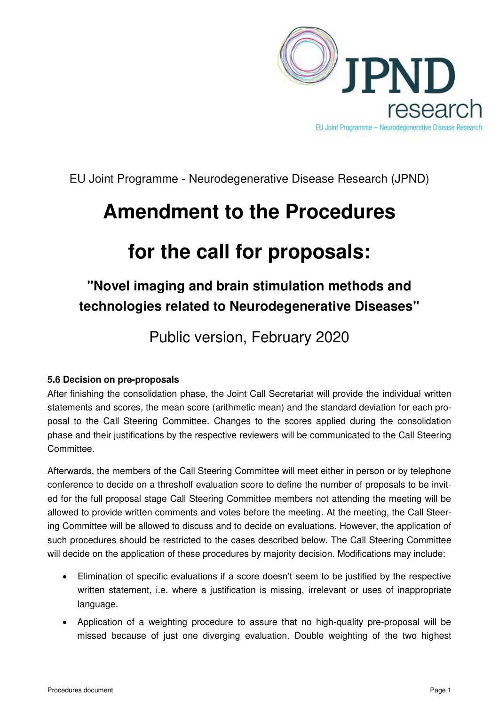

EU Joint Programme - Neurodegenerative Disease Research (JPND)

## **Amendment to the Procedures**

# **for the call for proposals:**

### **"Novel imaging and brain stimulation methods and technologies related to Neurodegenerative Diseases"**

Public version, February 2020

### **5.6 Decision on pre-proposals**

After finishing the consolidation phase, the Joint Call Secretariat will provide the individual written statements and scores, the mean score (arithmetic mean) and the standard deviation for each proposal to the Call Steering Committee. Changes to the scores applied during the consolidation phase and their justifications by the respective reviewers will be communicated to the Call Steering Committee.

Afterwards, the members of the Call Steering Committee will meet either in person or by telephone conference to decide on a thresholf evaluation score to define the number of proposals to be invited for the full proposal stage Call Steering Committee members not attending the meeting will be allowed to provide written comments and votes before the meeting. At the meeting, the Call Steering Committee will be allowed to discuss and to decide on evaluations. However, the application of such procedures should be restricted to the cases described below. The Call Steering Committee will decide on the application of these procedures by majority decision. Modifications may include:

- Elimination of specific evaluations if a score doesn't seem to be justified by the respective written statement, i.e. where a justification is missing, irrelevant or uses of inappropriate language.
- Application of a weighting procedure to assure that no high-quality pre-proposal will be missed because of just one diverging evaluation. Double weighting of the two highest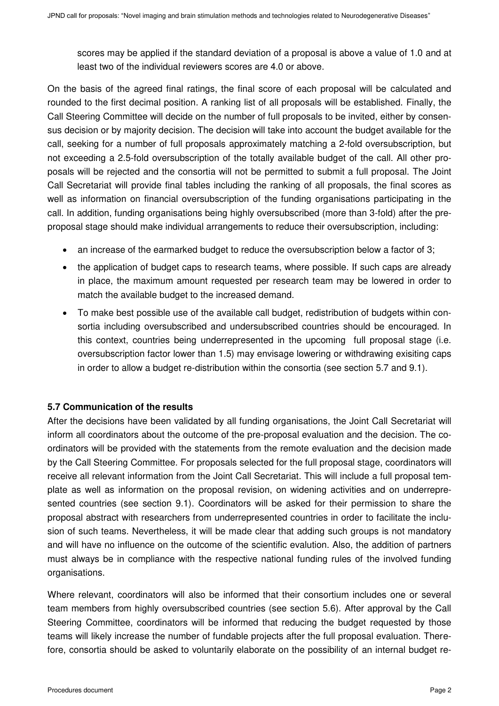scores may be applied if the standard deviation of a proposal is above a value of 1.0 and at least two of the individual reviewers scores are 4.0 or above.

On the basis of the agreed final ratings, the final score of each proposal will be calculated and rounded to the first decimal position. A ranking list of all proposals will be established. Finally, the Call Steering Committee will decide on the number of full proposals to be invited, either by consensus decision or by majority decision. The decision will take into account the budget available for the call, seeking for a number of full proposals approximately matching a 2-fold oversubscription, but not exceeding a 2.5-fold oversubscription of the totally available budget of the call. All other proposals will be rejected and the consortia will not be permitted to submit a full proposal. The Joint Call Secretariat will provide final tables including the ranking of all proposals, the final scores as well as information on financial oversubscription of the funding organisations participating in the call. In addition, funding organisations being highly oversubscribed (more than 3-fold) after the preproposal stage should make individual arrangements to reduce their oversubscription, including:

- an increase of the earmarked budget to reduce the oversubscription below a factor of 3;
- the application of budget caps to research teams, where possible. If such caps are already in place, the maximum amount requested per research team may be lowered in order to match the available budget to the increased demand.
- To make best possible use of the available call budget, redistribution of budgets within consortia including oversubscribed and undersubscribed countries should be encouraged. In this context, countries being underrepresented in the upcoming full proposal stage (i.e. oversubscription factor lower than 1.5) may envisage lowering or withdrawing exisiting caps in order to allow a budget re-distribution within the consortia (see section 5.7 and 9.1).

#### **5.7 Communication of the results**

After the decisions have been validated by all funding organisations, the Joint Call Secretariat will inform all coordinators about the outcome of the pre-proposal evaluation and the decision. The coordinators will be provided with the statements from the remote evaluation and the decision made by the Call Steering Committee. For proposals selected for the full proposal stage, coordinators will receive all relevant information from the Joint Call Secretariat. This will include a full proposal template as well as information on the proposal revision, on widening activities and on underrepresented countries (see section 9.1). Coordinators will be asked for their permission to share the proposal abstract with researchers from underrepresented countries in order to facilitate the inclusion of such teams. Nevertheless, it will be made clear that adding such groups is not mandatory and will have no influence on the outcome of the scientific evalution. Also, the addition of partners must always be in compliance with the respective national funding rules of the involved funding organisations.

Where relevant, coordinators will also be informed that their consortium includes one or several team members from highly oversubscribed countries (see section 5.6). After approval by the Call Steering Committee, coordinators will be informed that reducing the budget requested by those teams will likely increase the number of fundable projects after the full proposal evaluation. Therefore, consortia should be asked to voluntarily elaborate on the possibility of an internal budget re